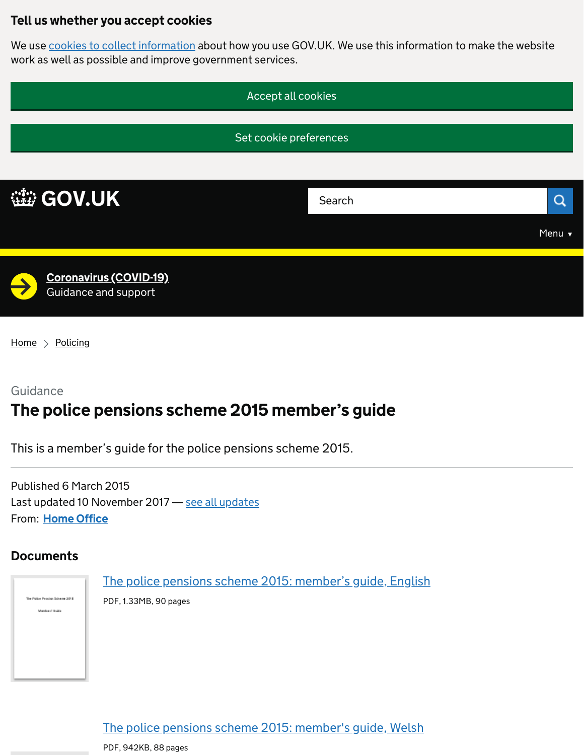## Tell us whether you accept cookies

We use [cookies to collect information](https://www.gov.uk/help/cookies) about how you use GOV.UK. We use this information to make the website work as well as possible and improve government services.



 $Home$  > [Policing](https://www.gov.uk/crime-justice-and-law/policing)

# Guidance The police pensions scheme 2015 member's guide

This is a member's guide for the police pensions scheme 2015.

From: <u>[Home Office](https://www.gov.uk/government/organisations/home-office)</u> Published 6 March 2015 Last updated 10 November 2017 - [see all updates](https://www.gov.uk/government/publications/the-police-pensions-scheme-2015-members-guide#history)

#### **Documents**



[The police pensions scheme 2015: member's guide, Welsh](https://assets.publishing.service.gov.uk/government/uploads/system/uploads/attachment_data/file/658721/PPS_2015_Members__Guide_-_Welsh.pdf)

PDF, 942KB, 88 pages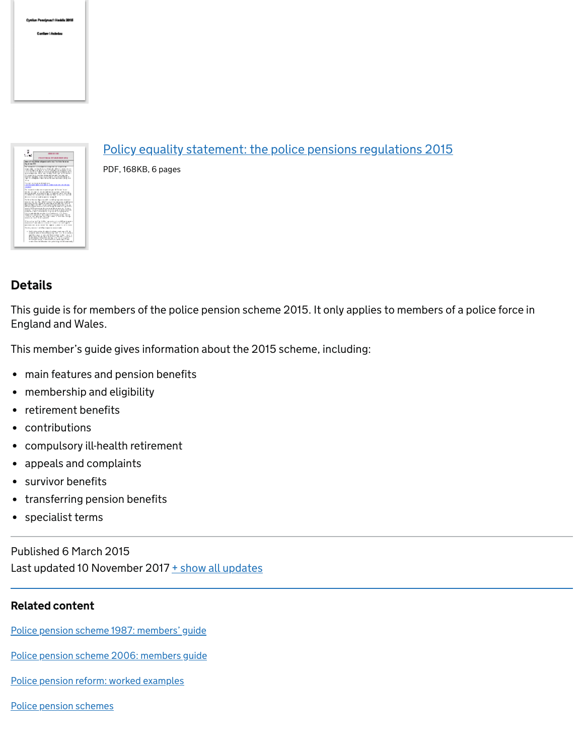



## [Policy equality statement: the police pensions regulations 2015](https://assets.publishing.service.gov.uk/government/uploads/system/uploads/attachment_data/file/455114/PES_Police_Pensions_Regulations_2015__PDF__2_.pdf)

PDF, 168KB, 6 pages

## **Details**

This guide is for members of the police pension scheme 2015. It only applies to members of a police force in England and Wales.

This member's guide gives information about the 2015 scheme, including:

- main features and pension benefits
- membership and eligibility
- retirement benefits
- contributions
- compulsory ill-health retirement
- appeals and complaints
- survivor benefits
- transferring pension benefits
- specialist terms

Published 6 March 2015 Last updated 10 November 2017  $\pm$  show all updates

#### Related content

[Police pension scheme 1987: members' guide](https://www.gov.uk/government/publications/police-pension-scheme-members-guide-october-2006)

[Police pension scheme 2006: members guide](https://www.gov.uk/government/publications/npps-members-guide-march-2009)

[Police pension reform: worked examples](https://www.gov.uk/government/publications/police-pension-reform-worked-examples)

[Police pension schemes](https://www.gov.uk/government/collections/police-pension-schemes)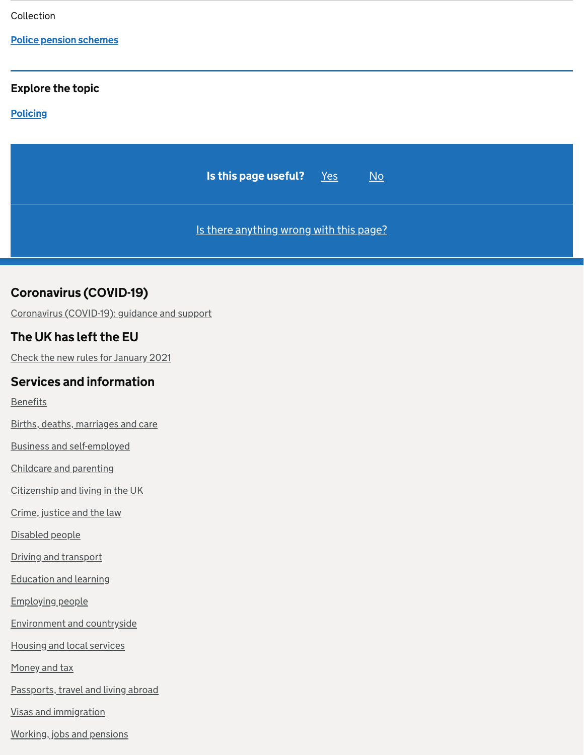Collection

#### [Police pension schemes](https://www.gov.uk/government/collections/police-pension-schemes)

#### Explore the topic

#### **[Policing](https://www.gov.uk/crime-justice-and-law/policing)**



## Coronavirus (COVID-19)

[Coronavirus \(COVID-19\): guidance and support](https://www.gov.uk/coronavirus)

## The UK has left the EU

[Check the new rules for January 2021](https://www.gov.uk/transition)

#### Services and information

[Benefits](https://www.gov.uk/browse/benefits)

[Births, deaths, marriages and care](https://www.gov.uk/browse/births-deaths-marriages)

[Business and self-employed](https://www.gov.uk/browse/business)

[Childcare and parenting](https://www.gov.uk/browse/childcare-parenting)

[Citizenship and living in the UK](https://www.gov.uk/browse/citizenship)

[Crime, justice and the law](https://www.gov.uk/browse/justice)

[Disabled people](https://www.gov.uk/browse/disabilities)

[Driving and transport](https://www.gov.uk/browse/driving)

[Education and learning](https://www.gov.uk/browse/education)

[Employing people](https://www.gov.uk/browse/employing-people)

[Environment and countryside](https://www.gov.uk/browse/environment-countryside)

[Housing and local services](https://www.gov.uk/browse/housing-local-services)

[Money and tax](https://www.gov.uk/browse/tax)

[Passports, travel and living abroad](https://www.gov.uk/browse/abroad)

[Visas and immigration](https://www.gov.uk/browse/visas-immigration)

[Working, jobs and pensions](https://www.gov.uk/browse/working)